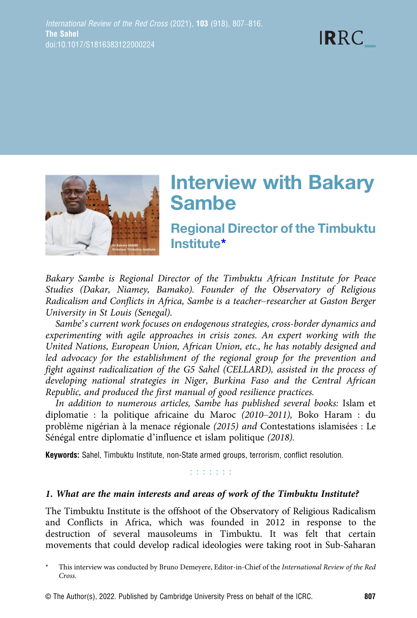



# **Interview with Bakary<br>Sambe**

**Regional Director of the Timbuktu** Institute\*

Bakary Sambe is Regional Director of the Timbuktu African Institute for Peace Studies (Dakar, Niamey, Bamako). Founder of the Observatory of Religious Radicalism and Conflicts in Africa, Sambe is a teacher–researcher at Gaston Berger University in St Louis (Senegal).

Sambe's current work focuses on endogenous strategies, cross-border dynamics and experimenting with agile approaches in crisis zones. An expert working with the United Nations, European Union, African Union, etc., he has notably designed and led advocacy for the establishment of the regional group for the prevention and fight against radicalization of the G5 Sahel (CELLARD), assisted in the process of developing national strategies in Niger, Burkina Faso and the Central African Republic, and produced the first manual of good resilience practices.

In addition to numerous articles, Sambe has published several books: Islam et diplomatie : la politique africaine du Maroc (2010–2011), Boko Haram : du problème nigérian à la menace régionale (2015) and Contestations islamisées : Le Sénégal entre diplomatie d'influence et islam politique (2018).

Keywords: Sahel, Timbuktu Institute, non-State armed groups, terrorism, conflict resolution.

#### r r r r r r r

#### 1. What are the main interests and areas of work of the Timbuktu Institute?

The Timbuktu Institute is the offshoot of the Observatory of Religious Radicalism and Conflicts in Africa, which was founded in 2012 in response to the destruction of several mausoleums in Timbuktu. It was felt that certain movements that could develop radical ideologies were taking root in Sub-Saharan

© The Author(s), 2022. Published by Cambridge University Press on behalf of the ICRC. 807

This interview was conducted by Bruno Demeyere, Editor-in-Chief of the International Review of the Red Cross.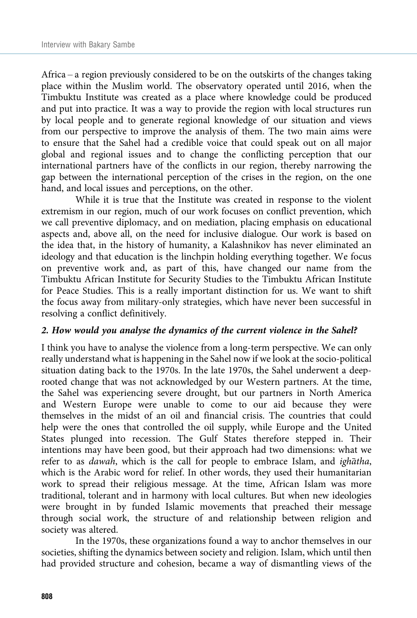Africa – a region previously considered to be on the outskirts of the changes taking place within the Muslim world. The observatory operated until 2016, when the Timbuktu Institute was created as a place where knowledge could be produced and put into practice. It was a way to provide the region with local structures run by local people and to generate regional knowledge of our situation and views from our perspective to improve the analysis of them. The two main aims were to ensure that the Sahel had a credible voice that could speak out on all major global and regional issues and to change the conflicting perception that our international partners have of the conflicts in our region, thereby narrowing the gap between the international perception of the crises in the region, on the one hand, and local issues and perceptions, on the other.

While it is true that the Institute was created in response to the violent extremism in our region, much of our work focuses on conflict prevention, which we call preventive diplomacy, and on mediation, placing emphasis on educational aspects and, above all, on the need for inclusive dialogue. Our work is based on the idea that, in the history of humanity, a Kalashnikov has never eliminated an ideology and that education is the linchpin holding everything together. We focus on preventive work and, as part of this, have changed our name from the Timbuktu African Institute for Security Studies to the Timbuktu African Institute for Peace Studies. This is a really important distinction for us. We want to shift the focus away from military-only strategies, which have never been successful in resolving a conflict definitively.

## 2. How would you analyse the dynamics of the current violence in the Sahel?

I think you have to analyse the violence from a long-term perspective. We can only really understand what is happening in the Sahel now if we look at the socio-political situation dating back to the 1970s. In the late 1970s, the Sahel underwent a deeprooted change that was not acknowledged by our Western partners. At the time, the Sahel was experiencing severe drought, but our partners in North America and Western Europe were unable to come to our aid because they were themselves in the midst of an oil and financial crisis. The countries that could help were the ones that controlled the oil supply, while Europe and the United States plunged into recession. The Gulf States therefore stepped in. Their intentions may have been good, but their approach had two dimensions: what we refer to as *dawah*, which is the call for people to embrace Islam, and *ighatha*, which is the Arabic word for relief. In other words, they used their humanitarian work to spread their religious message. At the time, African Islam was more traditional, tolerant and in harmony with local cultures. But when new ideologies were brought in by funded Islamic movements that preached their message through social work, the structure of and relationship between religion and society was altered.

In the 1970s, these organizations found a way to anchor themselves in our societies, shifting the dynamics between society and religion. Islam, which until then had provided structure and cohesion, became a way of dismantling views of the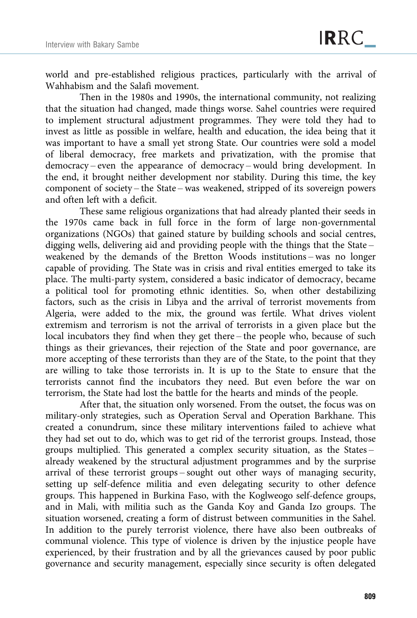world and pre-established religious practices, particularly with the arrival of Wahhabism and the Salafi movement.

Then in the 1980s and 1990s, the international community, not realizing that the situation had changed, made things worse. Sahel countries were required to implement structural adjustment programmes. They were told they had to invest as little as possible in welfare, health and education, the idea being that it was important to have a small yet strong State. Our countries were sold a model of liberal democracy, free markets and privatization, with the promise that democracy – even the appearance of democracy – would bring development. In the end, it brought neither development nor stability. During this time, the key component of society – the State – was weakened, stripped of its sovereign powers and often left with a deficit.

These same religious organizations that had already planted their seeds in the 1970s came back in full force in the form of large non-governmental organizations (NGOs) that gained stature by building schools and social centres, digging wells, delivering aid and providing people with the things that the State – weakened by the demands of the Bretton Woods institutions – was no longer capable of providing. The State was in crisis and rival entities emerged to take its place. The multi-party system, considered a basic indicator of democracy, became a political tool for promoting ethnic identities. So, when other destabilizing factors, such as the crisis in Libya and the arrival of terrorist movements from Algeria, were added to the mix, the ground was fertile. What drives violent extremism and terrorism is not the arrival of terrorists in a given place but the local incubators they find when they get there – the people who, because of such things as their grievances, their rejection of the State and poor governance, are more accepting of these terrorists than they are of the State, to the point that they are willing to take those terrorists in. It is up to the State to ensure that the terrorists cannot find the incubators they need. But even before the war on terrorism, the State had lost the battle for the hearts and minds of the people.

After that, the situation only worsened. From the outset, the focus was on military-only strategies, such as Operation Serval and Operation Barkhane. This created a conundrum, since these military interventions failed to achieve what they had set out to do, which was to get rid of the terrorist groups. Instead, those groups multiplied. This generated a complex security situation, as the States – already weakened by the structural adjustment programmes and by the surprise arrival of these terrorist groups – sought out other ways of managing security, setting up self-defence militia and even delegating security to other defence groups. This happened in Burkina Faso, with the Koglweogo self-defence groups, and in Mali, with militia such as the Ganda Koy and Ganda Izo groups. The situation worsened, creating a form of distrust between communities in the Sahel. In addition to the purely terrorist violence, there have also been outbreaks of communal violence. This type of violence is driven by the injustice people have experienced, by their frustration and by all the grievances caused by poor public governance and security management, especially since security is often delegated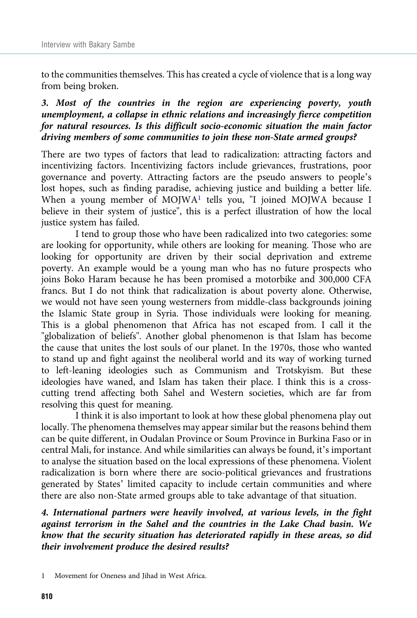to the communities themselves. This has created a cycle of violence that is a long way from being broken.

# 3. Most of the countries in the region are experiencing poverty, youth unemployment, a collapse in ethnic relations and increasingly fierce competition for natural resources. Is this difficult socio-economic situation the main factor driving members of some communities to join these non-State armed groups?

There are two types of factors that lead to radicalization: attracting factors and incentivizing factors. Incentivizing factors include grievances, frustrations, poor governance and poverty. Attracting factors are the pseudo answers to people's lost hopes, such as finding paradise, achieving justice and building a better life. When a young member of MOJWA<sup>1</sup> tells you, "I joined MOJWA because I believe in their system of justice", this is a perfect illustration of how the local justice system has failed.

I tend to group those who have been radicalized into two categories: some are looking for opportunity, while others are looking for meaning. Those who are looking for opportunity are driven by their social deprivation and extreme poverty. An example would be a young man who has no future prospects who joins Boko Haram because he has been promised a motorbike and 300,000 CFA francs. But I do not think that radicalization is about poverty alone. Otherwise, we would not have seen young westerners from middle-class backgrounds joining the Islamic State group in Syria. Those individuals were looking for meaning. This is a global phenomenon that Africa has not escaped from. I call it the "globalization of beliefs". Another global phenomenon is that Islam has become the cause that unites the lost souls of our planet. In the 1970s, those who wanted to stand up and fight against the neoliberal world and its way of working turned to left-leaning ideologies such as Communism and Trotskyism. But these ideologies have waned, and Islam has taken their place. I think this is a crosscutting trend affecting both Sahel and Western societies, which are far from resolving this quest for meaning.

I think it is also important to look at how these global phenomena play out locally. The phenomena themselves may appear similar but the reasons behind them can be quite different, in Oudalan Province or Soum Province in Burkina Faso or in central Mali, for instance. And while similarities can always be found, it's important to analyse the situation based on the local expressions of these phenomena. Violent radicalization is born where there are socio-political grievances and frustrations generated by States' limited capacity to include certain communities and where there are also non-State armed groups able to take advantage of that situation.

4. International partners were heavily involved, at various levels, in the fight against terrorism in the Sahel and the countries in the Lake Chad basin. We know that the security situation has deteriorated rapidly in these areas, so did their involvement produce the desired results?

Movement for Oneness and Jihad in West Africa.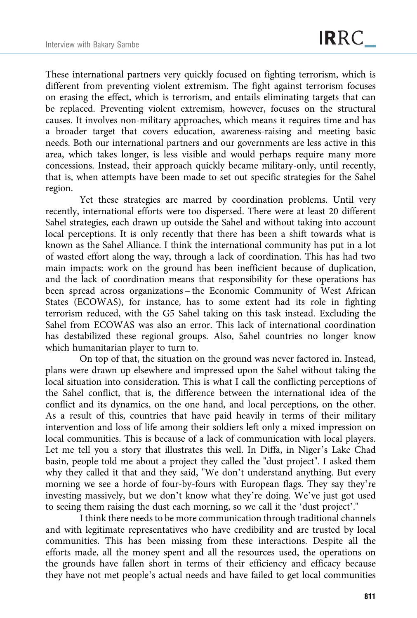These international partners very quickly focused on fighting terrorism, which is different from preventing violent extremism. The fight against terrorism focuses on erasing the effect, which is terrorism, and entails eliminating targets that can be replaced. Preventing violent extremism, however, focuses on the structural causes. It involves non-military approaches, which means it requires time and has a broader target that covers education, awareness-raising and meeting basic needs. Both our international partners and our governments are less active in this area, which takes longer, is less visible and would perhaps require many more concessions. Instead, their approach quickly became military-only, until recently, that is, when attempts have been made to set out specific strategies for the Sahel region.

Yet these strategies are marred by coordination problems. Until very recently, international efforts were too dispersed. There were at least 20 different Sahel strategies, each drawn up outside the Sahel and without taking into account local perceptions. It is only recently that there has been a shift towards what is known as the Sahel Alliance. I think the international community has put in a lot of wasted effort along the way, through a lack of coordination. This has had two main impacts: work on the ground has been inefficient because of duplication, and the lack of coordination means that responsibility for these operations has been spread across organizations – the Economic Community of West African States (ECOWAS), for instance, has to some extent had its role in fighting terrorism reduced, with the G5 Sahel taking on this task instead. Excluding the Sahel from ECOWAS was also an error. This lack of international coordination has destabilized these regional groups. Also, Sahel countries no longer know which humanitarian player to turn to.

On top of that, the situation on the ground was never factored in. Instead, plans were drawn up elsewhere and impressed upon the Sahel without taking the local situation into consideration. This is what I call the conflicting perceptions of the Sahel conflict, that is, the difference between the international idea of the conflict and its dynamics, on the one hand, and local perceptions, on the other. As a result of this, countries that have paid heavily in terms of their military intervention and loss of life among their soldiers left only a mixed impression on local communities. This is because of a lack of communication with local players. Let me tell you a story that illustrates this well. In Diffa, in Niger's Lake Chad basin, people told me about a project they called the "dust project". I asked them why they called it that and they said, "We don't understand anything. But every morning we see a horde of four-by-fours with European flags. They say they're investing massively, but we don't know what they're doing. We've just got used to seeing them raising the dust each morning, so we call it the 'dust project'."

I think there needs to be more communication through traditional channels and with legitimate representatives who have credibility and are trusted by local communities. This has been missing from these interactions. Despite all the efforts made, all the money spent and all the resources used, the operations on the grounds have fallen short in terms of their efficiency and efficacy because they have not met people's actual needs and have failed to get local communities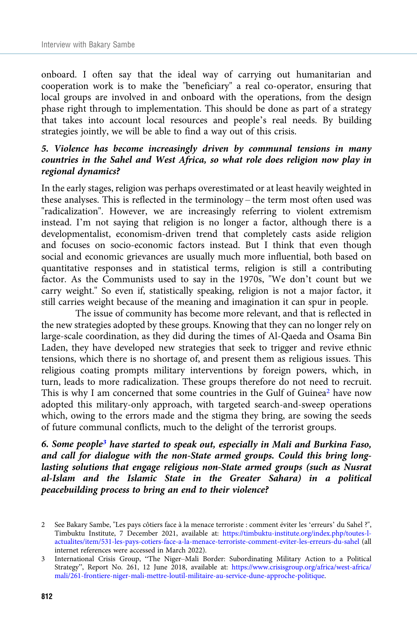onboard. I often say that the ideal way of carrying out humanitarian and cooperation work is to make the "beneficiary" a real co-operator, ensuring that local groups are involved in and onboard with the operations, from the design phase right through to implementation. This should be done as part of a strategy that takes into account local resources and people's real needs. By building strategies jointly, we will be able to find a way out of this crisis.

# 5. Violence has become increasingly driven by communal tensions in many countries in the Sahel and West Africa, so what role does religion now play in regional dynamics?

In the early stages, religion was perhaps overestimated or at least heavily weighted in these analyses. This is reflected in the terminology – the term most often used was "radicalization". However, we are increasingly referring to violent extremism instead. I'm not saying that religion is no longer a factor, although there is a developmentalist, economism-driven trend that completely casts aside religion and focuses on socio-economic factors instead. But I think that even though social and economic grievances are usually much more influential, both based on quantitative responses and in statistical terms, religion is still a contributing factor. As the Communists used to say in the 1970s, "We don't count but we carry weight." So even if, statistically speaking, religion is not a major factor, it still carries weight because of the meaning and imagination it can spur in people.

The issue of community has become more relevant, and that is reflected in the new strategies adopted by these groups. Knowing that they can no longer rely on large-scale coordination, as they did during the times of Al-Qaeda and Osama Bin Laden, they have developed new strategies that seek to trigger and revive ethnic tensions, which there is no shortage of, and present them as religious issues. This religious coating prompts military interventions by foreign powers, which, in turn, leads to more radicalization. These groups therefore do not need to recruit. This is why I am concerned that some countries in the Gulf of Guinea<sup>2</sup> have now adopted this military-only approach, with targeted search-and-sweep operations which, owing to the errors made and the stigma they bring, are sowing the seeds of future communal conflicts, much to the delight of the terrorist groups.

6. Some people3 have started to speak out, especially in Mali and Burkina Faso, and call for dialogue with the non-State armed groups. Could this bring longlasting solutions that engage religious non-State armed groups (such as Nusrat al-Islam and the Islamic State in the Greater Sahara) in a political peacebuilding process to bring an end to their violence?

<sup>2</sup> See Bakary Sambe, "Les pays côtiers face à la menace terroriste : comment éviter les 'erreurs' du Sahel ?", Timbuktu Institute, 7 December 2021, available at: [https://timbuktu-institute.org/index.php/toutes-l](https://timbuktu-institute.org/index.php/toutes-l-actualites/item/531-les-pays-cotiers-face-a-la-menace-terroriste-comment-eviter-les-erreurs-du-sahel)[actualites/item/531-les-pays-cotiers-face-a-la-menace-terroriste-comment-eviter-les-erreurs-du-sahel](https://timbuktu-institute.org/index.php/toutes-l-actualites/item/531-les-pays-cotiers-face-a-la-menace-terroriste-comment-eviter-les-erreurs-du-sahel) (all internet references were accessed in March 2022).

<sup>3</sup> International Crisis Group, "The Niger–Mali Border: Subordinating Military Action to a Political Strategy", Report No. 261, 12 June 2018, available at: [https://www.crisisgroup.org/africa/west-africa/](https://www.crisisgroup.org/fr/africa/west-africa/mali/261-frontiere-niger-mali-mettre-loutil-militaire-au-service-dune-approche-politique) [mali/261-frontiere-niger-mali-mettre-loutil-militaire-au-service-dune-approche-politique.](https://www.crisisgroup.org/fr/africa/west-africa/mali/261-frontiere-niger-mali-mettre-loutil-militaire-au-service-dune-approche-politique)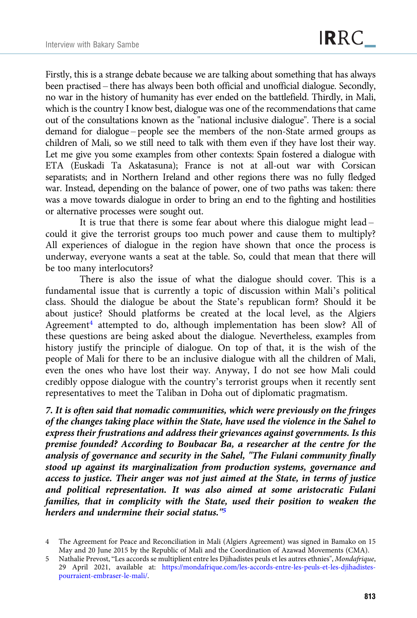Firstly, this is a strange debate because we are talking about something that has always been practised – there has always been both official and unofficial dialogue. Secondly, no war in the history of humanity has ever ended on the battlefield. Thirdly, in Mali, which is the country I know best, dialogue was one of the recommendations that came out of the consultations known as the "national inclusive dialogue". There is a social demand for dialogue – people see the members of the non-State armed groups as children of Mali, so we still need to talk with them even if they have lost their way. Let me give you some examples from other contexts: Spain fostered a dialogue with ETA (Euskadi Ta Askatasuna); France is not at all-out war with Corsican separatists; and in Northern Ireland and other regions there was no fully fledged war. Instead, depending on the balance of power, one of two paths was taken: there was a move towards dialogue in order to bring an end to the fighting and hostilities or alternative processes were sought out.

It is true that there is some fear about where this dialogue might lead – could it give the terrorist groups too much power and cause them to multiply? All experiences of dialogue in the region have shown that once the process is underway, everyone wants a seat at the table. So, could that mean that there will be too many interlocutors?

There is also the issue of what the dialogue should cover. This is a fundamental issue that is currently a topic of discussion within Mali's political class. Should the dialogue be about the State's republican form? Should it be about justice? Should platforms be created at the local level, as the Algiers Agreement<sup>4</sup> attempted to do, although implementation has been slow? All of these questions are being asked about the dialogue. Nevertheless, examples from history justify the principle of dialogue. On top of that, it is the wish of the people of Mali for there to be an inclusive dialogue with all the children of Mali, even the ones who have lost their way. Anyway, I do not see how Mali could credibly oppose dialogue with the country's terrorist groups when it recently sent representatives to meet the Taliban in Doha out of diplomatic pragmatism.

7. It is often said that nomadic communities, which were previously on the fringes of the changes taking place within the State, have used the violence in the Sahel to express their frustrations and address their grievances against governments. Is this premise founded? According to Boubacar Ba, a researcher at the centre for the analysis of governance and security in the Sahel, "The Fulani community finally stood up against its marginalization from production systems, governance and access to justice. Their anger was not just aimed at the State, in terms of justice and political representation. It was also aimed at some aristocratic Fulani families, that in complicity with the State, used their position to weaken the herders and undermine their social status."5

<sup>4</sup> The Agreement for Peace and Reconciliation in Mali (Algiers Agreement) was signed in Bamako on 15 May and 20 June 2015 by the Republic of Mali and the Coordination of Azawad Movements (CMA).

<sup>5</sup> Nathalie Prevost, "Les accords se multiplient entre les Djihadistes peuls et les autres ethnies", Mondafrique, 29 April 2021, available at: [https://mondafrique.com/les-accords-entre-les-peuls-et-les-djihadistes](https://mondafrique.com/les-accords-entre-les-peuls-et-les-djihadistes-pourraient-embraser-le-mali/)[pourraient-embraser-le-mali/](https://mondafrique.com/les-accords-entre-les-peuls-et-les-djihadistes-pourraient-embraser-le-mali/).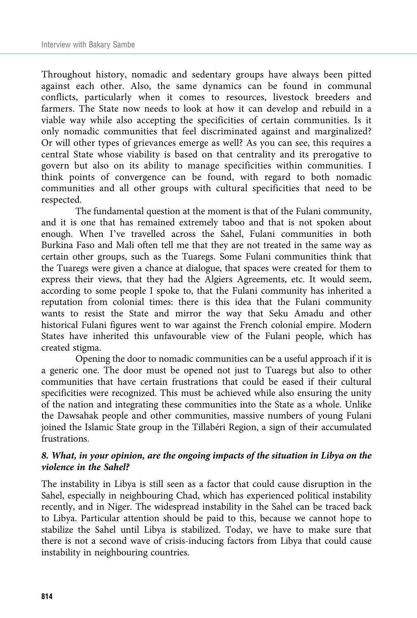Throughout history, nomadic and sedentary groups have always been pitted against each other. Also, the same dynamics can be found in communal conflicts, particularly when it comes to resources, livestock breeders and farmers. The State now needs to look at how it can develop and rebuild in a viable way while also accepting the specificities of certain communities. Is it only nomadic communities that feel discriminated against and marginalized? Or will other types of grievances emerge as well? As you can see, this requires a central State whose viability is based on that centrality and its prerogative to govern but also on its ability to manage specificities within communities. I think points of convergence can be found, with regard to both nomadic communities and all other groups with cultural specificities that need to be respected.

The fundamental question at the moment is that of the Fulani community, and it is one that has remained extremely taboo and that is not spoken about enough. When I've travelled across the Sahel, Fulani communities in both Burkina Faso and Mali often tell me that they are not treated in the same way as certain other groups, such as the Tuaregs. Some Fulani communities think that the Tuaregs were given a chance at dialogue, that spaces were created for them to express their views, that they had the Algiers Agreements, etc. It would seem, according to some people I spoke to, that the Fulani community has inherited a reputation from colonial times: there is this idea that the Fulani community wants to resist the State and mirror the way that Seku Amadu and other historical Fulani figures went to war against the French colonial empire. Modern States have inherited this unfavourable view of the Fulani people, which has created stigma.

Opening the door to nomadic communities can be a useful approach if it is a generic one. The door must be opened not just to Tuaregs but also to other communities that have certain frustrations that could be eased if their cultural specificities were recognized. This must be achieved while also ensuring the unity of the nation and integrating these communities into the State as a whole. Unlike the Dawsahak people and other communities, massive numbers of young Fulani joined the Islamic State group in the Tillabéri Region, a sign of their accumulated frustrations.

## 8. What, in your opinion, are the ongoing impacts of the situation in Libya on the violence in the Sahel?

The instability in Libya is still seen as a factor that could cause disruption in the Sahel, especially in neighbouring Chad, which has experienced political instability recently, and in Niger. The widespread instability in the Sahel can be traced back to Libya. Particular attention should be paid to this, because we cannot hope to stabilize the Sahel until Libya is stabilized. Today, we have to make sure that there is not a second wave of crisis-inducing factors from Libya that could cause instability in neighbouring countries.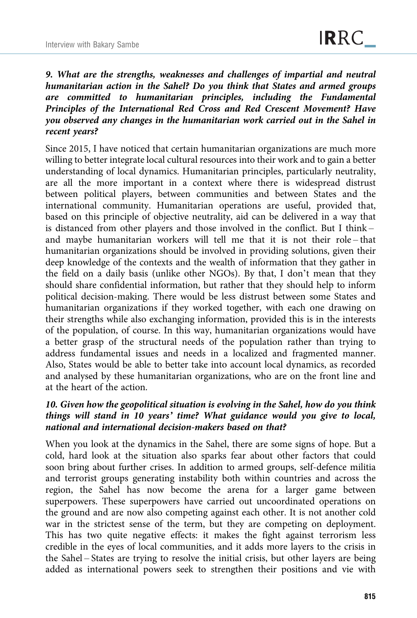9. What are the strengths, weaknesses and challenges of impartial and neutral humanitarian action in the Sahel? Do you think that States and armed groups are committed to humanitarian principles, including the Fundamental Principles of the International Red Cross and Red Crescent Movement? Have you observed any changes in the humanitarian work carried out in the Sahel in recent years?

Since 2015, I have noticed that certain humanitarian organizations are much more willing to better integrate local cultural resources into their work and to gain a better understanding of local dynamics. Humanitarian principles, particularly neutrality, are all the more important in a context where there is widespread distrust between political players, between communities and between States and the international community. Humanitarian operations are useful, provided that, based on this principle of objective neutrality, aid can be delivered in a way that is distanced from other players and those involved in the conflict. But I think – and maybe humanitarian workers will tell me that it is not their role – that humanitarian organizations should be involved in providing solutions, given their deep knowledge of the contexts and the wealth of information that they gather in the field on a daily basis (unlike other NGOs). By that, I don't mean that they should share confidential information, but rather that they should help to inform political decision-making. There would be less distrust between some States and humanitarian organizations if they worked together, with each one drawing on their strengths while also exchanging information, provided this is in the interests of the population, of course. In this way, humanitarian organizations would have a better grasp of the structural needs of the population rather than trying to address fundamental issues and needs in a localized and fragmented manner. Also, States would be able to better take into account local dynamics, as recorded and analysed by these humanitarian organizations, who are on the front line and at the heart of the action.

## 10. Given how the geopolitical situation is evolving in the Sahel, how do you think things will stand in 10 years' time? What guidance would you give to local, national and international decision-makers based on that?

When you look at the dynamics in the Sahel, there are some signs of hope. But a cold, hard look at the situation also sparks fear about other factors that could soon bring about further crises. In addition to armed groups, self-defence militia and terrorist groups generating instability both within countries and across the region, the Sahel has now become the arena for a larger game between superpowers. These superpowers have carried out uncoordinated operations on the ground and are now also competing against each other. It is not another cold war in the strictest sense of the term, but they are competing on deployment. This has two quite negative effects: it makes the fight against terrorism less credible in the eyes of local communities, and it adds more layers to the crisis in the Sahel – States are trying to resolve the initial crisis, but other layers are being added as international powers seek to strengthen their positions and vie with